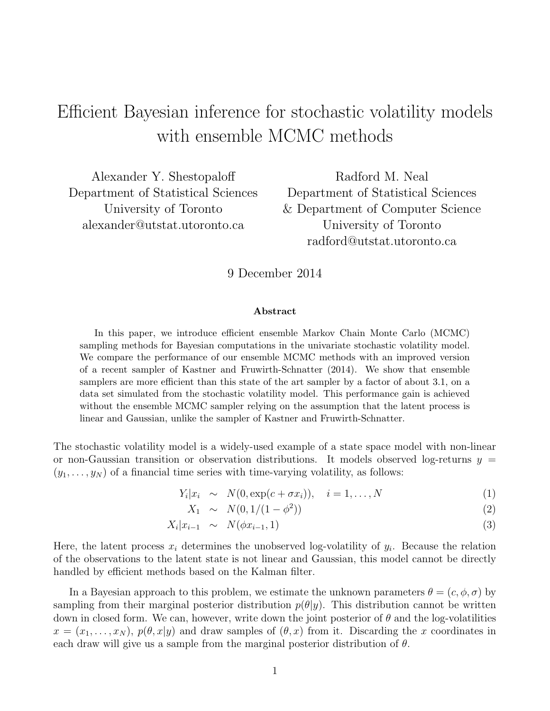# Efficient Bayesian inference for stochastic volatility models with ensemble MCMC methods

Alexander Y. Shestopaloff Department of Statistical Sciences University of Toronto alexander@utstat.utoronto.ca

Radford M. Neal Department of Statistical Sciences & Department of Computer Science University of Toronto radford@utstat.utoronto.ca

9 December 2014

#### Abstract

In this paper, we introduce efficient ensemble Markov Chain Monte Carlo (MCMC) sampling methods for Bayesian computations in the univariate stochastic volatility model. We compare the performance of our ensemble MCMC methods with an improved version of a recent sampler of Kastner and Fruwirth-Schnatter (2014). We show that ensemble samplers are more efficient than this state of the art sampler by a factor of about 3.1, on a data set simulated from the stochastic volatility model. This performance gain is achieved without the ensemble MCMC sampler relying on the assumption that the latent process is linear and Gaussian, unlike the sampler of Kastner and Fruwirth-Schnatter.

The stochastic volatility model is a widely-used example of a state space model with non-linear or non-Gaussian transition or observation distributions. It models observed log-returns  $y =$  $(y_1, \ldots, y_N)$  of a financial time series with time-varying volatility, as follows:

$$
Y_i|x_i \sim N(0, \exp(c + \sigma x_i)), \quad i = 1, \dots, N
$$
\n(1)

$$
X_1 \sim N(0, 1/(1 - \phi^2)) \tag{2}
$$

$$
X_i|x_{i-1} \sim N(\phi x_{i-1}, 1) \tag{3}
$$

Here, the latent process  $x_i$  determines the unobserved log-volatility of  $y_i$ . Because the relation of the observations to the latent state is not linear and Gaussian, this model cannot be directly handled by efficient methods based on the Kalman filter.

In a Bayesian approach to this problem, we estimate the unknown parameters  $\theta = (c, \phi, \sigma)$  by sampling from their marginal posterior distribution  $p(\theta|y)$ . This distribution cannot be written down in closed form. We can, however, write down the joint posterior of  $\theta$  and the log-volatilities  $x = (x_1, \ldots, x_N)$ ,  $p(\theta, x|y)$  and draw samples of  $(\theta, x)$  from it. Discarding the x coordinates in each draw will give us a sample from the marginal posterior distribution of  $\theta$ .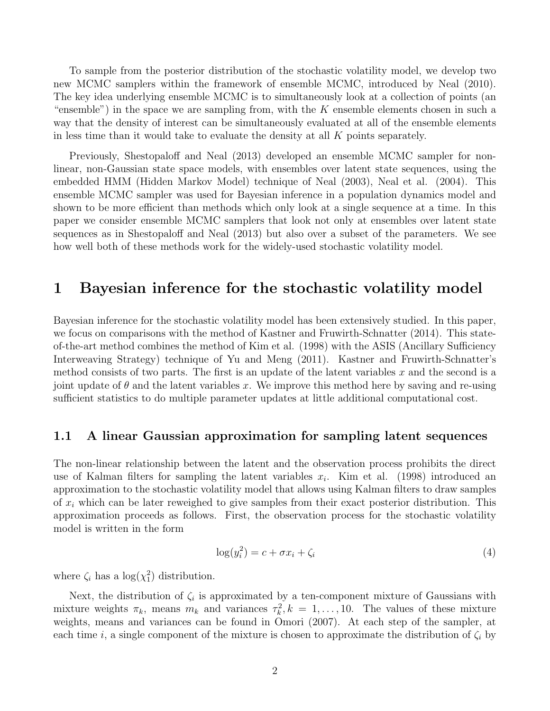To sample from the posterior distribution of the stochastic volatility model, we develop two new MCMC samplers within the framework of ensemble MCMC, introduced by Neal (2010). The key idea underlying ensemble MCMC is to simultaneously look at a collection of points (an "ensemble") in the space we are sampling from, with the  $K$  ensemble elements chosen in such a way that the density of interest can be simultaneously evaluated at all of the ensemble elements in less time than it would take to evaluate the density at all  $K$  points separately.

Previously, Shestopaloff and Neal (2013) developed an ensemble MCMC sampler for nonlinear, non-Gaussian state space models, with ensembles over latent state sequences, using the embedded HMM (Hidden Markov Model) technique of Neal (2003), Neal et al. (2004). This ensemble MCMC sampler was used for Bayesian inference in a population dynamics model and shown to be more efficient than methods which only look at a single sequence at a time. In this paper we consider ensemble MCMC samplers that look not only at ensembles over latent state sequences as in Shestopaloff and Neal (2013) but also over a subset of the parameters. We see how well both of these methods work for the widely-used stochastic volatility model.

### 1 Bayesian inference for the stochastic volatility model

Bayesian inference for the stochastic volatility model has been extensively studied. In this paper, we focus on comparisons with the method of Kastner and Fruwirth-Schnatter (2014). This stateof-the-art method combines the method of Kim et al. (1998) with the ASIS (Ancillary Sufficiency Interweaving Strategy) technique of Yu and Meng (2011). Kastner and Fruwirth-Schnatter's method consists of two parts. The first is an update of the latent variables  $x$  and the second is a joint update of  $\theta$  and the latent variables x. We improve this method here by saving and re-using sufficient statistics to do multiple parameter updates at little additional computational cost.

#### 1.1 A linear Gaussian approximation for sampling latent sequences

The non-linear relationship between the latent and the observation process prohibits the direct use of Kalman filters for sampling the latent variables  $x_i$ . Kim et al. (1998) introduced an approximation to the stochastic volatility model that allows using Kalman filters to draw samples of  $x_i$  which can be later reweighed to give samples from their exact posterior distribution. This approximation proceeds as follows. First, the observation process for the stochastic volatility model is written in the form

$$
\log(y_i^2) = c + \sigma x_i + \zeta_i \tag{4}
$$

where  $\zeta_i$  has a  $\log(\chi_1^2)$  distribution.

Next, the distribution of  $\zeta_i$  is approximated by a ten-component mixture of Gaussians with mixture weights  $\pi_k$ , means  $m_k$  and variances  $\tau_k^2$ ,  $k = 1, \ldots, 10$ . The values of these mixture weights, means and variances can be found in Omori (2007). At each step of the sampler, at each time i, a single component of the mixture is chosen to approximate the distribution of  $\zeta_i$  by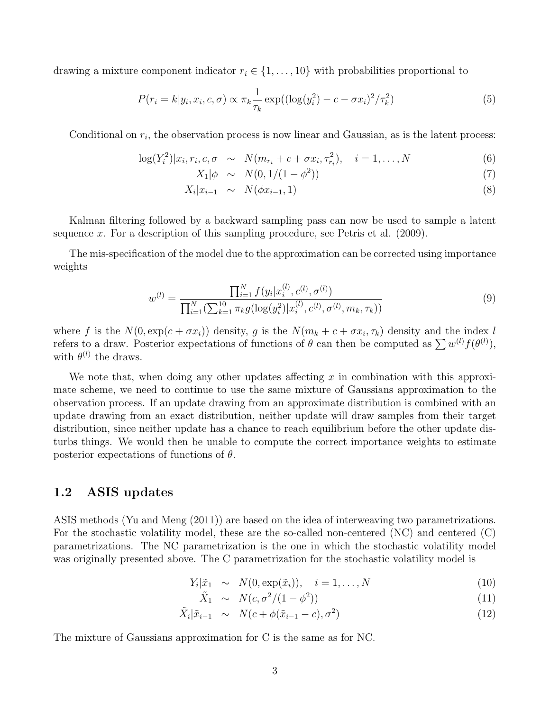drawing a mixture component indicator  $r_i \in \{1, \ldots, 10\}$  with probabilities proportional to

$$
P(r_i = k|y_i, x_i, c, \sigma) \propto \pi_k \frac{1}{\tau_k} \exp((\log(y_i^2) - c - \sigma x_i)^2 / \tau_k^2)
$$
\n
$$
\tag{5}
$$

Conditional on  $r_i$ , the observation process is now linear and Gaussian, as is the latent process:

$$
\log(Y_i^2)|x_i, r_i, c, \sigma \sim N(m_{r_i} + c + \sigma x_i, \tau_{r_i}^2), \quad i = 1, ..., N
$$
 (6)

$$
X_1|\phi \sim N(0, 1/(1 - \phi^2)) \tag{7}
$$

$$
X_i|x_{i-1} \sim N(\phi x_{i-1}, 1) \tag{8}
$$

Kalman filtering followed by a backward sampling pass can now be used to sample a latent sequence x. For a description of this sampling procedure, see Petris et al.  $(2009)$ .

The mis-specification of the model due to the approximation can be corrected using importance weights

$$
w^{(l)} = \frac{\prod_{i=1}^{N} f(y_i | x_i^{(l)}, c^{(l)}, \sigma^{(l)})}{\prod_{i=1}^{N} (\sum_{k=1}^{10} \pi_k g(\log(y_i^2) | x_i^{(l)}, c^{(l)}, \sigma^{(l)}, m_k, \tau_k))}
$$
(9)

where f is the  $N(0, \exp(c + \sigma x_i))$  density, g is the  $N(m_k + c + \sigma x_i, \tau_k)$  density and the index l refers to a draw. Posterior expectations of functions of  $\theta$  can then be computed as  $\sum w^{(l)} f(\theta^{(l)})$ , with  $\theta^{(l)}$  the draws.

We note that, when doing any other updates affecting  $x$  in combination with this approximate scheme, we need to continue to use the same mixture of Gaussians approximation to the observation process. If an update drawing from an approximate distribution is combined with an update drawing from an exact distribution, neither update will draw samples from their target distribution, since neither update has a chance to reach equilibrium before the other update disturbs things. We would then be unable to compute the correct importance weights to estimate posterior expectations of functions of  $\theta$ .

#### 1.2 ASIS updates

ASIS methods (Yu and Meng (2011)) are based on the idea of interweaving two parametrizations. For the stochastic volatility model, these are the so-called non-centered (NC) and centered (C) parametrizations. The NC parametrization is the one in which the stochastic volatility model was originally presented above. The C parametrization for the stochastic volatility model is

$$
Y_i|\tilde{x}_1 \sim N(0, \exp(\tilde{x}_i)), \quad i = 1, \dots, N
$$
\n(10)

$$
\tilde{X}_1 \sim N(c, \sigma^2/(1-\phi^2)) \tag{11}
$$

$$
\tilde{X}_i|\tilde{x}_{i-1} \sim N(c + \phi(\tilde{x}_{i-1} - c), \sigma^2)
$$
\n(12)

The mixture of Gaussians approximation for C is the same as for NC.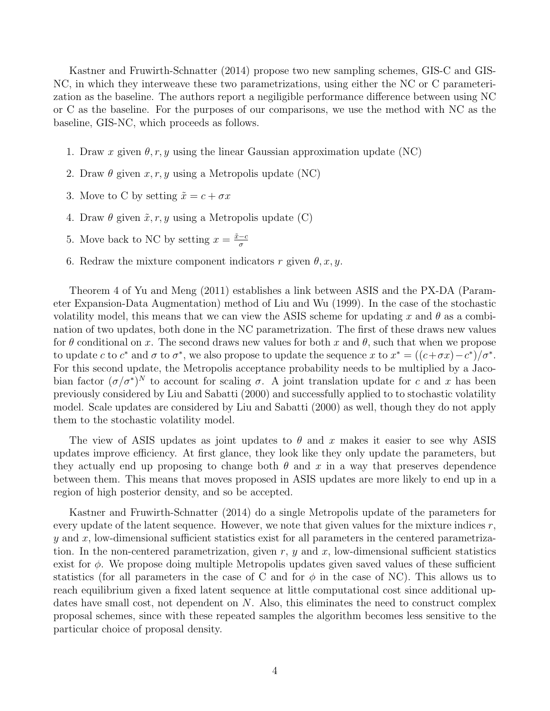Kastner and Fruwirth-Schnatter (2014) propose two new sampling schemes, GIS-C and GIS-NC, in which they interweave these two parametrizations, using either the NC or C parameterization as the baseline. The authors report a negiligible performance difference between using NC or C as the baseline. For the purposes of our comparisons, we use the method with NC as the baseline, GIS-NC, which proceeds as follows.

- 1. Draw x given  $\theta, r, y$  using the linear Gaussian approximation update (NC)
- 2. Draw  $\theta$  given  $x, r, y$  using a Metropolis update (NC)
- 3. Move to C by setting  $\tilde{x} = c + \sigma x$
- 4. Draw  $\theta$  given  $\tilde{x}, r, y$  using a Metropolis update (C)
- 5. Move back to NC by setting  $x = \frac{\tilde{x} c}{\sigma}$ σ
- 6. Redraw the mixture component indicators r given  $\theta$ , x, y.

Theorem 4 of Yu and Meng (2011) establishes a link between ASIS and the PX-DA (Parameter Expansion-Data Augmentation) method of Liu and Wu (1999). In the case of the stochastic volatility model, this means that we can view the ASIS scheme for updating x and  $\theta$  as a combination of two updates, both done in the NC parametrization. The first of these draws new values for  $\theta$  conditional on x. The second draws new values for both x and  $\theta$ , such that when we propose to update c to  $c^*$  and  $\sigma$  to  $\sigma^*$ , we also propose to update the sequence x to  $x^* = \frac{((c+\sigma x) - c^*)}{\sigma^*}$ . For this second update, the Metropolis acceptance probability needs to be multiplied by a Jacobian factor  $(\sigma/\sigma^*)^N$  to account for scaling  $\sigma$ . A joint translation update for c and x has been previously considered by Liu and Sabatti (2000) and successfully applied to to stochastic volatility model. Scale updates are considered by Liu and Sabatti (2000) as well, though they do not apply them to the stochastic volatility model.

The view of ASIS updates as joint updates to  $\theta$  and x makes it easier to see why ASIS updates improve efficiency. At first glance, they look like they only update the parameters, but they actually end up proposing to change both  $\theta$  and x in a way that preserves dependence between them. This means that moves proposed in ASIS updates are more likely to end up in a region of high posterior density, and so be accepted.

Kastner and Fruwirth-Schnatter (2014) do a single Metropolis update of the parameters for every update of the latent sequence. However, we note that given values for the mixture indices  $r$ ,  $y$  and  $x$ , low-dimensional sufficient statistics exist for all parameters in the centered parametrization. In the non-centered parametrization, given  $r$ ,  $y$  and  $x$ , low-dimensional sufficient statistics exist for  $\phi$ . We propose doing multiple Metropolis updates given saved values of these sufficient statistics (for all parameters in the case of C and for  $\phi$  in the case of NC). This allows us to reach equilibrium given a fixed latent sequence at little computational cost since additional updates have small cost, not dependent on N. Also, this eliminates the need to construct complex proposal schemes, since with these repeated samples the algorithm becomes less sensitive to the particular choice of proposal density.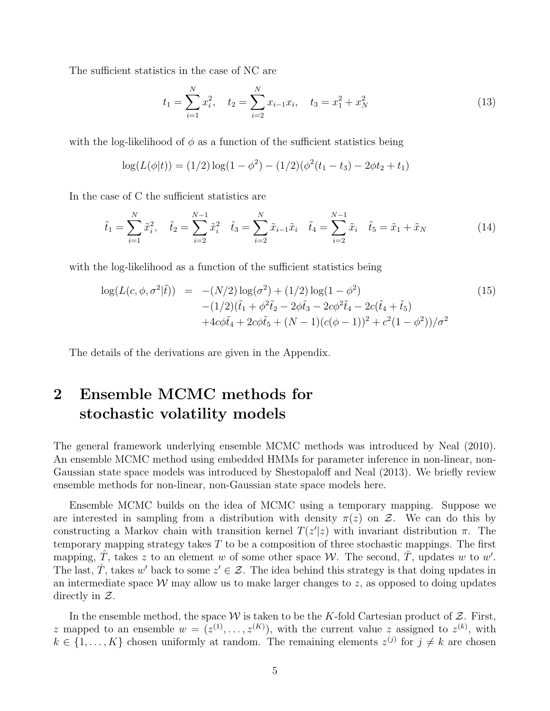The sufficient statistics in the case of NC are

$$
t_1 = \sum_{i=1}^{N} x_i^2, \quad t_2 = \sum_{i=2}^{N} x_{i-1} x_i, \quad t_3 = x_1^2 + x_N^2 \tag{13}
$$

with the log-likelihood of  $\phi$  as a function of the sufficient statistics being

$$
\log(L(\phi|t)) = (1/2)\log(1-\phi^2) - (1/2)(\phi^2(t_1 - t_3) - 2\phi t_2 + t_1)
$$

In the case of C the sufficient statistics are

$$
\tilde{t}_1 = \sum_{i=1}^N \tilde{x}_i^2, \quad \tilde{t}_2 = \sum_{i=2}^{N-1} \tilde{x}_i^2 \quad \tilde{t}_3 = \sum_{i=2}^N \tilde{x}_{i-1} \tilde{x}_i \quad \tilde{t}_4 = \sum_{i=2}^{N-1} \tilde{x}_i \quad \tilde{t}_5 = \tilde{x}_1 + \tilde{x}_N \tag{14}
$$

with the log-likelihood as a function of the sufficient statistics being

$$
\log(L(c, \phi, \sigma^2 | \tilde{t})) = -(N/2) \log(\sigma^2) + (1/2) \log(1 - \phi^2) \n- (1/2)(\tilde{t}_1 + \phi^2 \tilde{t}_2 - 2\phi \tilde{t}_3 - 2c\phi^2 \tilde{t}_4 - 2c(\tilde{t}_4 + \tilde{t}_5) \n+ 4c\phi \tilde{t}_4 + 2c\phi \tilde{t}_5 + (N - 1)(c(\phi - 1))^2 + c^2(1 - \phi^2))/\sigma^2
$$
\n(15)

The details of the derivations are given in the Appendix.

## 2 Ensemble MCMC methods for stochastic volatility models

The general framework underlying ensemble MCMC methods was introduced by Neal (2010). An ensemble MCMC method using embedded HMMs for parameter inference in non-linear, non-Gaussian state space models was introduced by Shestopaloff and Neal (2013). We briefly review ensemble methods for non-linear, non-Gaussian state space models here.

Ensemble MCMC builds on the idea of MCMC using a temporary mapping. Suppose we are interested in sampling from a distribution with density  $\pi(z)$  on Z. We can do this by constructing a Markov chain with transition kernel  $T(z'|z)$  with invariant distribution  $\pi$ . The temporary mapping strategy takes  $T$  to be a composition of three stochastic mappings. The first mapping,  $\hat{T}$ , takes z to an element w of some other space W. The second,  $\overline{T}$ , updates w to w'. The last,  $\check{T}$ , takes w' back to some  $z' \in \mathcal{Z}$ . The idea behind this strategy is that doing updates in an intermediate space  $W$  may allow us to make larger changes to z, as opposed to doing updates directly in  $\mathcal{Z}$ .

In the ensemble method, the space  $W$  is taken to be the K-fold Cartesian product of  $Z$ . First, z mapped to an ensemble  $w = (z^{(1)}, \ldots, z^{(K)})$ , with the current value z assigned to  $z^{(k)}$ , with  $k \in \{1, ..., K\}$  chosen uniformly at random. The remaining elements  $z^{(j)}$  for  $j \neq k$  are chosen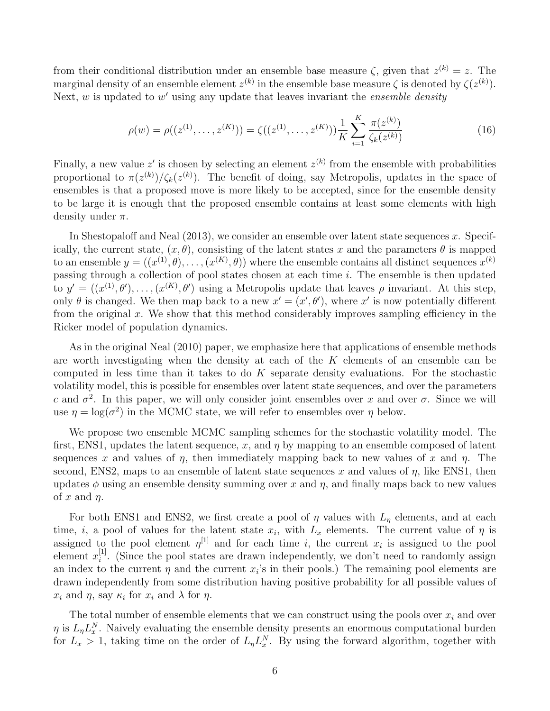from their conditional distribution under an ensemble base measure  $\zeta$ , given that  $z^{(k)} = z$ . The marginal density of an ensemble element  $z^{(k)}$  in the ensemble base measure  $\zeta$  is denoted by  $\zeta(z^{(k)})$ . Next,  $w$  is updated to  $w'$  using any update that leaves invariant the *ensemble density* 

$$
\rho(w) = \rho((z^{(1)}, \dots, z^{(K)})) = \zeta((z^{(1)}, \dots, z^{(K)})) \frac{1}{K} \sum_{i=1}^{K} \frac{\pi(z^{(k)})}{\zeta_k(z^{(k)})}
$$
(16)

Finally, a new value z' is chosen by selecting an element  $z^{(k)}$  from the ensemble with probabilities proportional to  $\pi(z^{(k)})/\zeta_k(z^{(k)})$ . The benefit of doing, say Metropolis, updates in the space of ensembles is that a proposed move is more likely to be accepted, since for the ensemble density to be large it is enough that the proposed ensemble contains at least some elements with high density under  $\pi$ .

In Shestopaloff and Neal  $(2013)$ , we consider an ensemble over latent state sequences x. Specifically, the current state,  $(x, \theta)$ , consisting of the latent states x and the parameters  $\theta$  is mapped to an ensemble  $y = (x^{(1)}, \theta), \ldots, (x^{(K)}, \theta)$  where the ensemble contains all distinct sequences  $x^{(k)}$ passing through a collection of pool states chosen at each time  $i$ . The ensemble is then updated to  $y' = ((x^{(1)}, \theta'), \ldots, (x^{(K)}, \theta')$  using a Metropolis update that leaves  $\rho$  invariant. At this step, only  $\theta$  is changed. We then map back to a new  $x' = (x', \theta')$ , where x' is now potentially different from the original x. We show that this method considerably improves sampling efficiency in the Ricker model of population dynamics.

As in the original Neal (2010) paper, we emphasize here that applications of ensemble methods are worth investigating when the density at each of the  $K$  elements of an ensemble can be computed in less time than it takes to do  $K$  separate density evaluations. For the stochastic volatility model, this is possible for ensembles over latent state sequences, and over the parameters c and  $\sigma^2$ . In this paper, we will only consider joint ensembles over x and over  $\sigma$ . Since we will use  $\eta = \log(\sigma^2)$  in the MCMC state, we will refer to ensembles over  $\eta$  below.

We propose two ensemble MCMC sampling schemes for the stochastic volatility model. The first, ENS1, updates the latent sequence, x, and  $\eta$  by mapping to an ensemble composed of latent sequences x and values of  $\eta$ , then immediately mapping back to new values of x and  $\eta$ . The second, ENS2, maps to an ensemble of latent state sequences x and values of  $\eta$ , like ENS1, then updates  $\phi$  using an ensemble density summing over x and  $\eta$ , and finally maps back to new values of x and  $\eta$ .

For both ENS1 and ENS2, we first create a pool of  $\eta$  values with  $L_{\eta}$  elements, and at each time, *i*, a pool of values for the latent state  $x_i$ , with  $L_x$  elements. The current value of  $\eta$  is assigned to the pool element  $\eta^{[1]}$  and for each time i, the current  $x_i$  is assigned to the pool element  $x_i^{[1]}$  $i<sup>[1]</sup>$ . (Since the pool states are drawn independently, we don't need to randomly assign an index to the current  $\eta$  and the current  $x_i$ 's in their pools.) The remaining pool elements are drawn independently from some distribution having positive probability for all possible values of  $x_i$  and  $\eta$ , say  $\kappa_i$  for  $x_i$  and  $\lambda$  for  $\eta$ .

The total number of ensemble elements that we can construct using the pools over  $x_i$  and over  $\eta$  is  $L_{\eta}L_{x}^{N}$ . Naively evaluating the ensemble density presents an enormous computational burden for  $L_x > 1$ , taking time on the order of  $L_{\eta} L_x^N$ . By using the forward algorithm, together with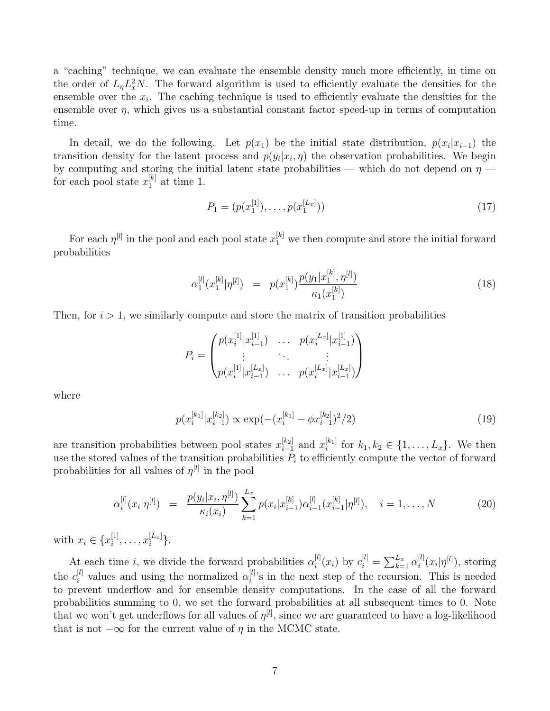a "caching" technique, we can evaluate the ensemble density much more efficiently, in time on the order of  $L_{\eta}L_{x}^{2}N$ . The forward algorithm is used to efficiently evaluate the densities for the ensemble over the  $x_i$ . The caching technique is used to efficiently evaluate the densities for the ensemble over  $\eta$ , which gives us a substantial constant factor speed-up in terms of computation time.

In detail, we do the following. Let  $p(x_1)$  be the initial state distribution,  $p(x_i|x_{i-1})$  the transition density for the latent process and  $p(y_i|x_i, \eta)$  the observation probabilities. We begin by computing and storing the initial latent state probabilities — which do not depend on  $\eta$  for each pool state  $x_1^{[k]}$  $_1^{[\kappa]}$  at time 1.

$$
P_1 = (p(x_1^{[1]}), \dots, p(x_1^{[L_x]}))
$$
\n<sup>(17)</sup>

For each  $\eta^{[l]}$  in the pool and each pool state  $x_1^{[k]}$  we then compute and store the initial forward probabilities

$$
\alpha_1^{[l]}(x_1^{[k]}|\eta^{[l]}) = p(x_1^{[k]}) \frac{p(y_1|x_1^{[k]}, \eta^{[l]})}{\kappa_1(x_1^{[k]})}
$$
\n(18)

Then, for  $i > 1$ , we similarly compute and store the matrix of transition probabilities

$$
P_i = \begin{pmatrix} p(x_i^{[1]}|x_{i-1}^{[1]}) & \cdots & p(x_i^{[L_x]}|x_{i-1}^{[1]}) \\ \vdots & \ddots & \vdots \\ p(x_i^{[1]}|x_{i-1}^{[L_x]}) & \cdots & p(x_i^{[L_x]}|x_{i-1}^{[L_x]}) \end{pmatrix}
$$

where

$$
p(x_i^{[k_1]}|x_{i-1}^{[k_2]}) \propto \exp(-(x_i^{[k_1]} - \phi x_{i-1}^{[k_2]})^2/2)
$$
\n(19)

are transition probabilities between pool states  $x_{i-1}^{[k_2]}$  $_{i-1}^{[k_2]}$  and  $x_i^{[k_1]}$  $i^{k_1}$  for  $k_1, k_2 \in \{1, ..., L_x\}$ . We then use the stored values of the transition probabilities  $P_i$  to efficiently compute the vector of forward probabilities for all values of  $\eta^{[l]}$  in the pool

$$
\alpha_i^{[l]}(x_i|\eta^{[l]}) = \frac{p(y_i|x_i, \eta^{[l]})}{\kappa_i(x_i)} \sum_{k=1}^{L_x} p(x_i|x_{i-1}^{[k]}) \alpha_{i-1}^{[l]}(x_{i-1}^{[k]}|\eta^{[l]}), \quad i = 1, \dots, N
$$
\n(20)

with  $x_i \in \{x_i^{[1]}$  $\binom{[1]}{i}, \ldots, x_i^{[L_x]}$  $_{i}^{[L_x]}$ .

At each time *i*, we divide the forward probabilities  $\alpha_i^{[l]}$  $\mathcal{L}_i^{[l]}(x_i)$  by  $c_i^{[l]} = \sum_{k=1}^{L_x} \alpha_i^{[l]}$  $\int_i^{[l]} (x_i|\eta^{[l]}),$  storing the  $c_i^{[l]}$  values and using the normalized  $\alpha_i^{[l]}$  $i^{[l]}$ 's in the next step of the recursion. This is needed to prevent underflow and for ensemble density computations. In the case of all the forward probabilities summing to 0, we set the forward probabilities at all subsequent times to 0. Note that we won't get underflows for all values of  $\eta^{[l]}$ , since we are guaranteed to have a log-likelihood that is not  $-\infty$  for the current value of  $\eta$  in the MCMC state.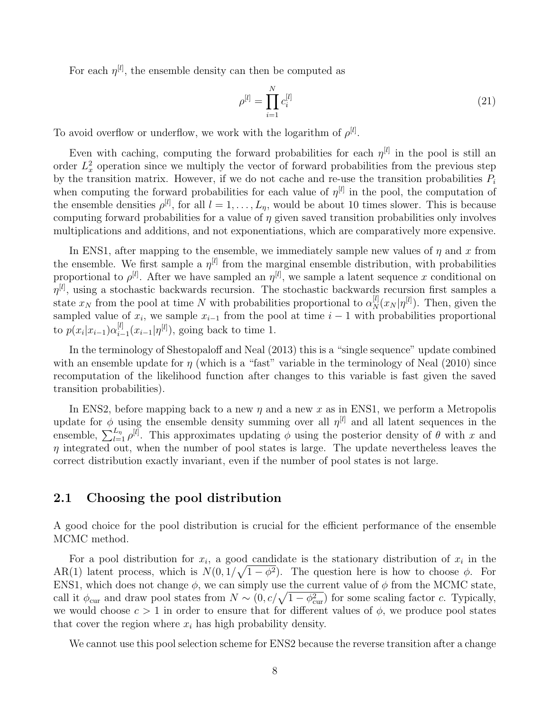For each  $\eta^{[l]}$ , the ensemble density can then be computed as

$$
\rho^{[l]} = \prod_{i=1}^{N} c_i^{[l]} \tag{21}
$$

To avoid overflow or underflow, we work with the logarithm of  $\rho^{[l]}$ .

Even with caching, computing the forward probabilities for each  $\eta^{[l]}$  in the pool is still an order  $L_x^2$  operation since we multiply the vector of forward probabilities from the previous step by the transition matrix. However, if we do not cache and re-use the transition probabilities  $P_i$ when computing the forward probabilities for each value of  $\eta^{[l]}$  in the pool, the computation of the ensemble densities  $\rho^{[l]}$ , for all  $l = 1, \ldots, L_{\eta}$ , would be about 10 times slower. This is because computing forward probabilities for a value of  $\eta$  given saved transition probabilities only involves multiplications and additions, and not exponentiations, which are comparatively more expensive.

In ENS1, after mapping to the ensemble, we immediately sample new values of  $\eta$  and x from the ensemble. We first sample a  $\eta^{[l]}$  from the marginal ensemble distribution, with probabilities proportional to  $\rho^{[l]}$ . After we have sampled an  $\eta^{[l]}$ , we sample a latent sequence x conditional on  $\eta^{[l]}$ , using a stochastic backwards recursion. The stochastic backwards recursion first samples a state  $x_N$  from the pool at time N with probabilities proportional to  $\alpha_N^{[l]}(x_N | \eta^{[l]})$ . Then, given the sampled value of  $x_i$ , we sample  $x_{i-1}$  from the pool at time  $i-1$  with probabilities proportional to  $p(x_i|x_{i-1})\alpha_{i-1}^{[l]}$  $\sum_{i=1}^{\lbrack l]} (x_{i-1}|\eta^{[l]}),$  going back to time 1.

In the terminology of Shestopaloff and Neal (2013) this is a "single sequence" update combined with an ensemble update for  $\eta$  (which is a "fast" variable in the terminology of Neal (2010) since recomputation of the likelihood function after changes to this variable is fast given the saved transition probabilities).

In ENS2, before mapping back to a new  $\eta$  and a new x as in ENS1, we perform a Metropolis update for  $\phi$  using the ensemble density summing over all  $\eta^{[l]}$  and all latent sequences in the ensemble,  $\sum_{l=1}^{L_{\eta}} \rho^{[l]}$ . This approximates updating  $\phi$  using the posterior density of  $\theta$  with x and  $\eta$  integrated out, when the number of pool states is large. The update nevertheless leaves the correct distribution exactly invariant, even if the number of pool states is not large.

#### 2.1 Choosing the pool distribution

A good choice for the pool distribution is crucial for the efficient performance of the ensemble MCMC method.

For a pool distribution for  $x_i$ , a good candidate is the stationary distribution of  $x_i$  in the AR(1) latent process, which is  $N(0, 1/\sqrt{1-\phi^2})$ . The question here is how to choose  $\phi$ . For ENS1, which does not change  $\phi$ , we can simply use the current value of  $\phi$  from the MCMC state, call it  $\phi_{\text{cur}}$  and draw pool states from  $N \sim (0, c/\sqrt{1-\phi_{\text{cur}}^2})$  for some scaling factor c. Typically, we would choose  $c > 1$  in order to ensure that for different values of  $\phi$ , we produce pool states that cover the region where  $x_i$  has high probability density.

We cannot use this pool selection scheme for ENS2 because the reverse transition after a change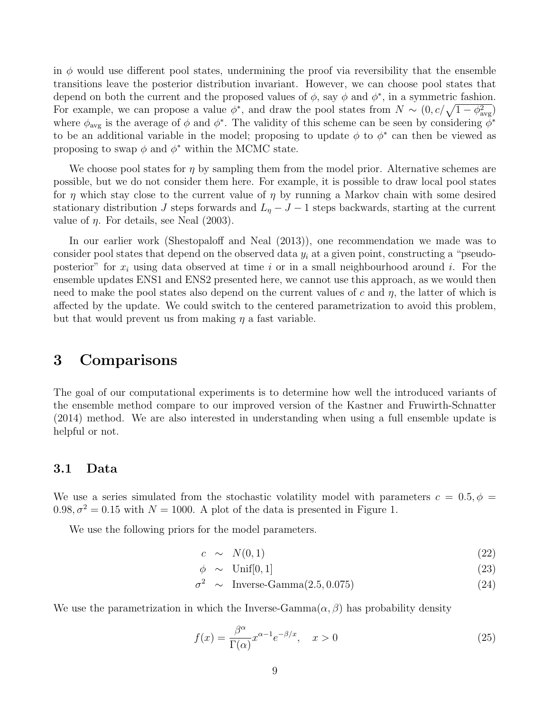in  $\phi$  would use different pool states, undermining the proof via reversibility that the ensemble transitions leave the posterior distribution invariant. However, we can choose pool states that depend on both the current and the proposed values of  $\phi$ , say  $\phi$  and  $\phi^*$ , in a symmetric fashion. For example, we can propose a value  $\phi^*$ , and draw the pool states from  $N \sim (0, c/\sqrt{1-\phi_{\text{avg}}^2})$ where  $\phi_{\text{avg}}$  is the average of  $\phi$  and  $\phi^*$ . The validity of this scheme can be seen by considering  $\phi^*$ to be an additional variable in the model; proposing to update  $\phi$  to  $\phi^*$  can then be viewed as proposing to swap  $\phi$  and  $\phi^*$  within the MCMC state.

We choose pool states for  $\eta$  by sampling them from the model prior. Alternative schemes are possible, but we do not consider them here. For example, it is possible to draw local pool states for  $\eta$  which stay close to the current value of  $\eta$  by running a Markov chain with some desired stationary distribution J steps forwards and  $L<sub>n</sub> - J - 1$  steps backwards, starting at the current value of  $\eta$ . For details, see Neal (2003).

In our earlier work (Shestopaloff and Neal (2013)), one recommendation we made was to consider pool states that depend on the observed data  $y_i$  at a given point, constructing a "pseudoposterior" for  $x_i$  using data observed at time i or in a small neighbourhood around i. For the ensemble updates ENS1 and ENS2 presented here, we cannot use this approach, as we would then need to make the pool states also depend on the current values of c and  $\eta$ , the latter of which is affected by the update. We could switch to the centered parametrization to avoid this problem, but that would prevent us from making  $\eta$  a fast variable.

### 3 Comparisons

The goal of our computational experiments is to determine how well the introduced variants of the ensemble method compare to our improved version of the Kastner and Fruwirth-Schnatter (2014) method. We are also interested in understanding when using a full ensemble update is helpful or not.

#### 3.1 Data

We use a series simulated from the stochastic volatility model with parameters  $c = 0.5, \phi =$  $0.98, \sigma^2 = 0.15$  with  $N = 1000$ . A plot of the data is presented in Figure 1.

We use the following priors for the model parameters.

$$
c \sim N(0,1) \tag{22}
$$

$$
\phi \sim \text{Unif}[0,1] \tag{23}
$$

$$
\begin{array}{rcl}\n\phi & \sim & \text{Unif}[0,1] \\
\sigma^2 & \sim & \text{Inverse-Gamma}(2.5, 0.075)\n\end{array} \tag{23}
$$

We use the parametrization in which the Inverse-Gamma $(\alpha, \beta)$  has probability density

$$
f(x) = \frac{\beta^{\alpha}}{\Gamma(\alpha)} x^{\alpha - 1} e^{-\beta/x}, \quad x > 0
$$
\n(25)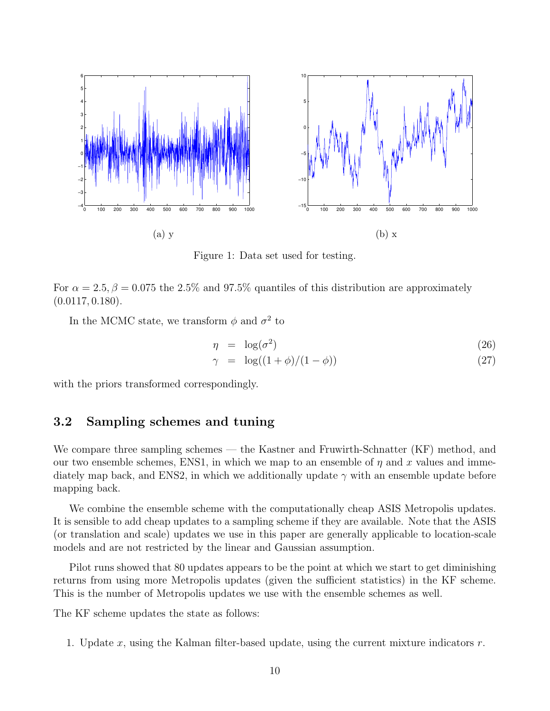

Figure 1: Data set used for testing.

For  $\alpha = 2.5, \beta = 0.075$  the 2.5% and 97.5% quantiles of this distribution are approximately  $(0.0117, 0.180).$ 

In the MCMC state, we transform  $\phi$  and  $\sigma^2$  to

$$
\eta = \log(\sigma^2) \tag{26}
$$
\n
$$
\gamma = \log((1+\phi)/(1-\phi)) \tag{27}
$$

with the priors transformed correspondingly.

#### 3.2 Sampling schemes and tuning

We compare three sampling schemes — the Kastner and Fruwirth-Schnatter (KF) method, and our two ensemble schemes, ENS1, in which we map to an ensemble of  $\eta$  and x values and immediately map back, and ENS2, in which we additionally update  $\gamma$  with an ensemble update before mapping back.

We combine the ensemble scheme with the computationally cheap ASIS Metropolis updates. It is sensible to add cheap updates to a sampling scheme if they are available. Note that the ASIS (or translation and scale) updates we use in this paper are generally applicable to location-scale models and are not restricted by the linear and Gaussian assumption.

Pilot runs showed that 80 updates appears to be the point at which we start to get diminishing returns from using more Metropolis updates (given the sufficient statistics) in the KF scheme. This is the number of Metropolis updates we use with the ensemble schemes as well.

The KF scheme updates the state as follows:

1. Update  $x$ , using the Kalman filter-based update, using the current mixture indicators  $r$ .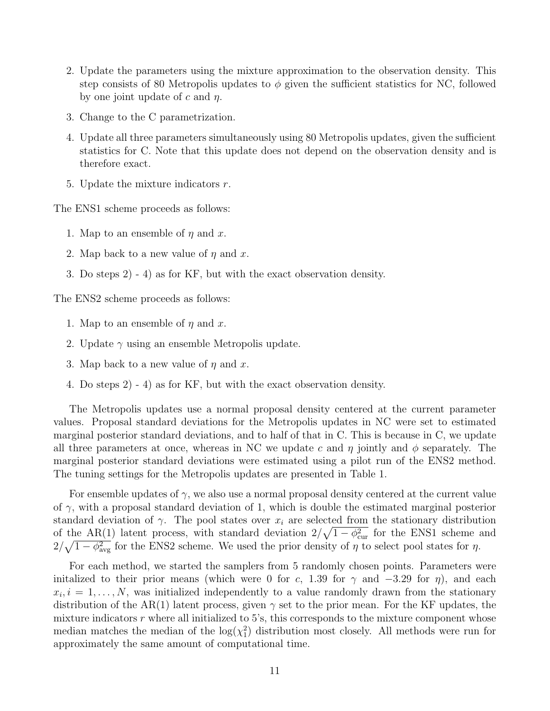- 2. Update the parameters using the mixture approximation to the observation density. This step consists of 80 Metropolis updates to  $\phi$  given the sufficient statistics for NC, followed by one joint update of c and  $\eta$ .
- 3. Change to the C parametrization.
- 4. Update all three parameters simultaneously using 80 Metropolis updates, given the sufficient statistics for C. Note that this update does not depend on the observation density and is therefore exact.
- 5. Update the mixture indicators  $r$ .

The ENS1 scheme proceeds as follows:

- 1. Map to an ensemble of  $\eta$  and  $x$ .
- 2. Map back to a new value of  $\eta$  and x.
- 3. Do steps 2) 4) as for KF, but with the exact observation density.

The ENS2 scheme proceeds as follows:

- 1. Map to an ensemble of  $\eta$  and x.
- 2. Update  $\gamma$  using an ensemble Metropolis update.
- 3. Map back to a new value of  $\eta$  and x.
- 4. Do steps 2) 4) as for KF, but with the exact observation density.

The Metropolis updates use a normal proposal density centered at the current parameter values. Proposal standard deviations for the Metropolis updates in NC were set to estimated marginal posterior standard deviations, and to half of that in C. This is because in C, we update all three parameters at once, whereas in NC we update c and  $\eta$  jointly and  $\phi$  separately. The marginal posterior standard deviations were estimated using a pilot run of the ENS2 method. The tuning settings for the Metropolis updates are presented in Table 1.

For ensemble updates of  $\gamma$ , we also use a normal proposal density centered at the current value of  $\gamma$ , with a proposal standard deviation of 1, which is double the estimated marginal posterior standard deviation of  $\gamma$ . The pool states over  $x_i$  are selected from the stationary distribution of the AR(1) latent process, with standard deviation  $2/\sqrt{1-\phi_{\text{cur}}^2}$  for the ENS1 scheme and  $2/\sqrt{1-\phi_{\text{avg}}^2}$  for the ENS2 scheme. We used the prior density of  $\eta$  to select pool states for  $\eta$ .

For each method, we started the samplers from 5 randomly chosen points. Parameters were initalized to their prior means (which were 0 for c, 1.39 for  $\gamma$  and  $-3.29$  for  $\eta$ ), and each  $x_i, i = 1, \ldots, N$ , was initialized independently to a value randomly drawn from the stationary distribution of the AR(1) latent process, given  $\gamma$  set to the prior mean. For the KF updates, the mixture indicators  $r$  where all initialized to 5's, this corresponds to the mixture component whose median matches the median of the  $log(\chi_1^2)$  distribution most closely. All methods were run for approximately the same amount of computational time.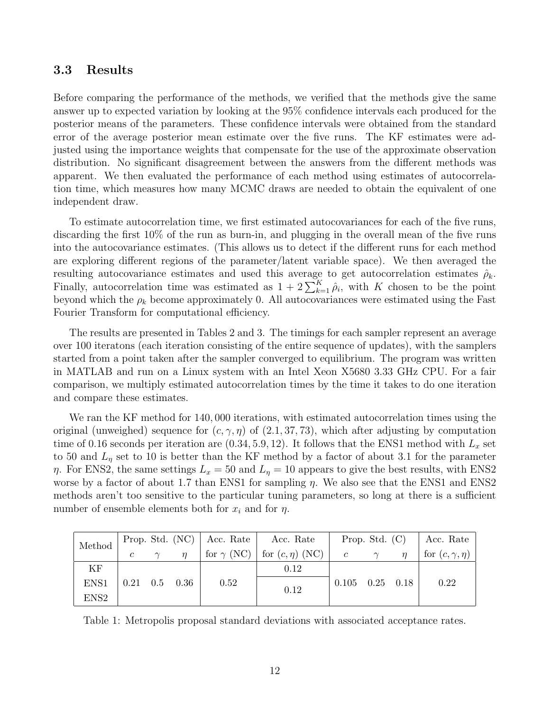#### 3.3 Results

Before comparing the performance of the methods, we verified that the methods give the same answer up to expected variation by looking at the 95% confidence intervals each produced for the posterior means of the parameters. These confidence intervals were obtained from the standard error of the average posterior mean estimate over the five runs. The KF estimates were adjusted using the importance weights that compensate for the use of the approximate observation distribution. No significant disagreement between the answers from the different methods was apparent. We then evaluated the performance of each method using estimates of autocorrelation time, which measures how many MCMC draws are needed to obtain the equivalent of one independent draw.

To estimate autocorrelation time, we first estimated autocovariances for each of the five runs, discarding the first 10% of the run as burn-in, and plugging in the overall mean of the five runs into the autocovariance estimates. (This allows us to detect if the different runs for each method are exploring different regions of the parameter/latent variable space). We then averaged the resulting autocovariance estimates and used this average to get autocorrelation estimates  $\hat{\rho}_k$ . Finally, autocorrelation time was estimated as  $1 + 2 \sum_{k=1}^{K} \hat{\rho}_i$ , with K chosen to be the point beyond which the  $\rho_k$  become approximately 0. All autocovariances were estimated using the Fast Fourier Transform for computational efficiency.

The results are presented in Tables 2 and 3. The timings for each sampler represent an average over 100 iteratons (each iteration consisting of the entire sequence of updates), with the samplers started from a point taken after the sampler converged to equilibrium. The program was written in MATLAB and run on a Linux system with an Intel Xeon X5680 3.33 GHz CPU. For a fair comparison, we multiply estimated autocorrelation times by the time it takes to do one iteration and compare these estimates.

We ran the KF method for 140,000 iterations, with estimated autocorrelation times using the original (unweighed) sequence for  $(c, \gamma, \eta)$  of  $(2.1, 37, 73)$ , which after adjusting by computation time of 0.16 seconds per iteration are  $(0.34, 5.9, 12)$ . It follows that the ENS1 method with  $L_x$  set to 50 and  $L<sub>\eta</sub>$  set to 10 is better than the KF method by a factor of about 3.1 for the parameter  $\eta$ . For ENS2, the same settings  $L_x = 50$  and  $L_{\eta} = 10$  appears to give the best results, with ENS2 worse by a factor of about 1.7 than ENS1 for sampling  $\eta$ . We also see that the ENS1 and ENS2 methods aren't too sensitive to the particular tuning parameters, so long at there is a sufficient number of ensemble elements both for  $x_i$  and for  $\eta$ .

| Method           | Prop. Std. (NC)   Acc. Rate   Acc. Rate             |          |        |      |                                        | Prop. Std. $(C)$      |          |  | Acc. Rate               |  |
|------------------|-----------------------------------------------------|----------|--------|------|----------------------------------------|-----------------------|----------|--|-------------------------|--|
|                  |                                                     | $\gamma$ | $\eta$ |      | for $\gamma$ (NC) for $(c, \eta)$ (NC) | $\overline{c}$        | $\gamma$ |  | for $(c, \gamma, \eta)$ |  |
| ΚF               |                                                     |          |        |      | 0.12                                   |                       |          |  |                         |  |
| ENS1             | $\begin{array}{cccc} 0.21 & 0.5 & 0.36 \end{array}$ |          |        | 0.52 | 0.12                                   | $0.105$ $0.25$ $0.18$ |          |  | 0.22                    |  |
| ENS <sub>2</sub> |                                                     |          |        |      |                                        |                       |          |  |                         |  |

Table 1: Metropolis proposal standard deviations with associated acceptance rates.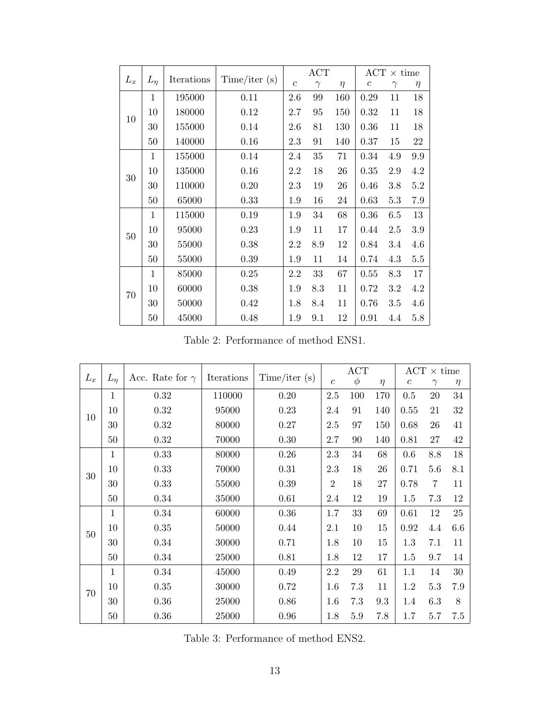|       |            |            |              | ACT           |          |        | $ACT \times time$ |          |         |  |
|-------|------------|------------|--------------|---------------|----------|--------|-------------------|----------|---------|--|
| $L_x$ | $L_{\eta}$ | Iterations | Time/iter(s) | $\mathcal{C}$ | $\gamma$ | $\eta$ | $\boldsymbol{c}$  | $\gamma$ | $\eta$  |  |
|       | 1          | 195000     | 0.11         | 2.6           | 99       | 160    | 0.29              | 11       | 18      |  |
| 10    | 10         | 180000     | 0.12         | 2.7           | 95       | 150    | 0.32              | 11       | 18      |  |
|       | 30         | 155000     | 0.14         | 2.6           | 81       | 130    | 0.36              | 11       | 18      |  |
|       | 50         | 140000     | 0.16         | 2.3           | 91       | 140    | 0.37              | 15       | 22      |  |
|       | 1          | 155000     | 0.14         | 2.4           | 35       | 71     | 0.34              | 4.9      | 9.9     |  |
| 30    | 10         | 135000     | 0.16         | 2.2           | 18       | 26     | 0.35              | 2.9      | 4.2     |  |
|       | 30         | 110000     | 0.20         | 2.3           | 19       | 26     | 0.46              | 3.8      | $5.2\,$ |  |
|       | 50         | 65000      | 0.33         | 1.9           | 16       | 24     | 0.63              | 5.3      | 7.9     |  |
|       | 1          | 115000     | 0.19         | 1.9           | 34       | 68     | 0.36              | 6.5      | 13      |  |
| 50    | 10         | 95000      | 0.23         | 1.9           | 11       | 17     | 0.44              | 2.5      | 3.9     |  |
|       | 30         | 55000      | 0.38         | 2.2           | 8.9      | 12     | 0.84              | 3.4      | 4.6     |  |
|       | 50         | 55000      | 0.39         | 1.9           | 11       | 14     | 0.74              | 4.3      | $5.5\,$ |  |
|       | 1          | 85000      | 0.25         | 2.2           | 33       | 67     | 0.55              | 8.3      | 17      |  |
| 70    | 10         | 60000      | 0.38         | 1.9           | 8.3      | 11     | 0.72              | 3.2      | 4.2     |  |
|       | 30         | 50000      | 0.42         | 1.8           | 8.4      | 11     | 0.76              | 3.5      | 4.6     |  |
|       | 50         | 45000      | 0.48         | 1.9           | 9.1      | 12     | 0.91              | 4.4      | 5.8     |  |

Table 2: Performance of method ENS1.

|       |              |                        |            |              | ACT            |         |        | $\mathrm{ACT}$ $\times$ time |                |        |
|-------|--------------|------------------------|------------|--------------|----------------|---------|--------|------------------------------|----------------|--------|
| $L_x$ | $L_n$        | Acc. Rate for $\gamma$ | Iterations | Time/iter(s) | $\mathfrak{c}$ | $\phi$  | $\eta$ | $\boldsymbol{c}$             | $\gamma$       | $\eta$ |
|       | $\mathbf{1}$ | 0.32                   | 110000     | 0.20         | $2.5\,$        | 100     | 170    | 0.5                          | 20             | 34     |
| 10    | 10           | 0.32                   | 95000      | 0.23         | 2.4            | 91      | 140    | 0.55                         | 21             | 32     |
|       | 30           | 0.32                   | 80000      | 0.27         | 2.5            | 97      | 150    | 0.68                         | 26             | 41     |
|       | 50           | 0.32                   | 70000      | 0.30         | 2.7            | 90      | 140    | 0.81                         | 27             | 42     |
|       | $\mathbf{1}$ | 0.33                   | 80000      | 0.26         | 2.3            | 34      | 68     | 0.6                          | 8.8            | 18     |
| 30    | 10           | 0.33                   | 70000      | 0.31         | 2.3            | 18      | 26     | 0.71                         | 5.6            | 8.1    |
|       | 30           | 0.33                   | 55000      | 0.39         | $\overline{2}$ | 18      | 27     | 0.78                         | $\overline{7}$ | 11     |
|       | 50           | 0.34                   | 35000      | 0.61         | 2.4            | 12      | 19     | 1.5                          | 7.3            | 12     |
|       | $\mathbf{1}$ | $0.34\,$               | 60000      | 0.36         | 1.7            | $33\,$  | 69     | 0.61                         | 12             | $25\,$ |
| 50    | 10           | 0.35                   | 50000      | 0.44         | 2.1            | 10      | 15     | 0.92                         | 4.4            | 6.6    |
|       | 30           | 0.34                   | 30000      | 0.71         | 1.8            | 10      | 15     | 1.3                          | 7.1            | 11     |
|       | 50           | 0.34                   | 25000      | 0.81         | 1.8            | 12      | 17     | 1.5                          | 9.7            | 14     |
|       | 1            | $0.34\,$               | 45000      | 0.49         | 2.2            | 29      | 61     | 1.1                          | 14             | $30\,$ |
| 70    | 10           | 0.35                   | 30000      | 0.72         | 1.6            | 7.3     | 11     | 1.2                          | 5.3            | 7.9    |
|       | 30           | 0.36                   | 25000      | 0.86         | 1.6            | 7.3     | 9.3    | 1.4                          | 6.3            | 8      |
|       | $50\,$       | 0.36                   | 25000      | 0.96         | 1.8            | $5.9\,$ | 7.8    | 1.7                          | 5.7            | 7.5    |

Table 3: Performance of method ENS2.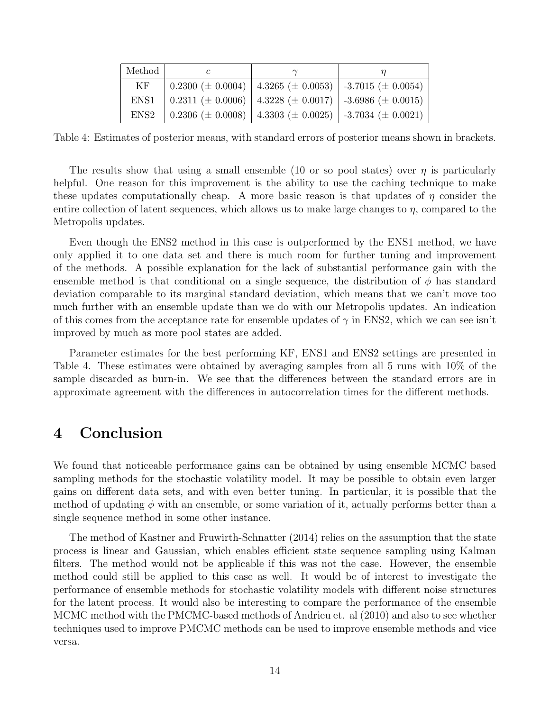| Method           |                                                                              |                                                                                  |
|------------------|------------------------------------------------------------------------------|----------------------------------------------------------------------------------|
| KF               | $0.2300 \ (\pm 0.0004) \ \ 4.3265 \ (\pm 0.0053) \ \ -3.7015 \ (\pm 0.0054)$ |                                                                                  |
|                  |                                                                              | ENS1   0.2311 ( $\pm$ 0.0006)   4.3228 ( $\pm$ 0.0017)   -3.6986 ( $\pm$ 0.0015) |
| ENS <sub>2</sub> |                                                                              | 0.2306 ( $\pm$ 0.0008) 4.3303 ( $\pm$ 0.0025) -3.7034 ( $\pm$ 0.0021)            |

Table 4: Estimates of posterior means, with standard errors of posterior means shown in brackets.

The results show that using a small ensemble (10 or so pool states) over  $\eta$  is particularly helpful. One reason for this improvement is the ability to use the caching technique to make these updates computationally cheap. A more basic reason is that updates of  $\eta$  consider the entire collection of latent sequences, which allows us to make large changes to  $\eta$ , compared to the Metropolis updates.

Even though the ENS2 method in this case is outperformed by the ENS1 method, we have only applied it to one data set and there is much room for further tuning and improvement of the methods. A possible explanation for the lack of substantial performance gain with the ensemble method is that conditional on a single sequence, the distribution of  $\phi$  has standard deviation comparable to its marginal standard deviation, which means that we can't move too much further with an ensemble update than we do with our Metropolis updates. An indication of this comes from the acceptance rate for ensemble updates of  $\gamma$  in ENS2, which we can see isn't improved by much as more pool states are added.

Parameter estimates for the best performing KF, ENS1 and ENS2 settings are presented in Table 4. These estimates were obtained by averaging samples from all 5 runs with 10% of the sample discarded as burn-in. We see that the differences between the standard errors are in approximate agreement with the differences in autocorrelation times for the different methods.

### 4 Conclusion

We found that noticeable performance gains can be obtained by using ensemble MCMC based sampling methods for the stochastic volatility model. It may be possible to obtain even larger gains on different data sets, and with even better tuning. In particular, it is possible that the method of updating  $\phi$  with an ensemble, or some variation of it, actually performs better than a single sequence method in some other instance.

The method of Kastner and Fruwirth-Schnatter (2014) relies on the assumption that the state process is linear and Gaussian, which enables efficient state sequence sampling using Kalman filters. The method would not be applicable if this was not the case. However, the ensemble method could still be applied to this case as well. It would be of interest to investigate the performance of ensemble methods for stochastic volatility models with different noise structures for the latent process. It would also be interesting to compare the performance of the ensemble MCMC method with the PMCMC-based methods of Andrieu et. al (2010) and also to see whether techniques used to improve PMCMC methods can be used to improve ensemble methods and vice versa.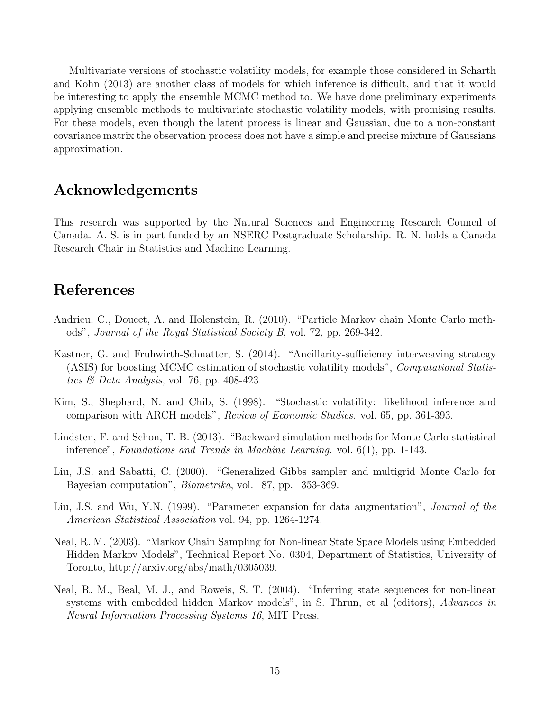Multivariate versions of stochastic volatility models, for example those considered in Scharth and Kohn (2013) are another class of models for which inference is difficult, and that it would be interesting to apply the ensemble MCMC method to. We have done preliminary experiments applying ensemble methods to multivariate stochastic volatility models, with promising results. For these models, even though the latent process is linear and Gaussian, due to a non-constant covariance matrix the observation process does not have a simple and precise mixture of Gaussians approximation.

### Acknowledgements

This research was supported by the Natural Sciences and Engineering Research Council of Canada. A. S. is in part funded by an NSERC Postgraduate Scholarship. R. N. holds a Canada Research Chair in Statistics and Machine Learning.

### References

- Andrieu, C., Doucet, A. and Holenstein, R. (2010). "Particle Markov chain Monte Carlo methods", Journal of the Royal Statistical Society B, vol. 72, pp. 269-342.
- Kastner, G. and Fruhwirth-Schnatter, S. (2014). "Ancillarity-sufficiency interweaving strategy (ASIS) for boosting MCMC estimation of stochastic volatility models", Computational Statistics & Data Analysis, vol. 76, pp. 408-423.
- Kim, S., Shephard, N. and Chib, S. (1998). "Stochastic volatility: likelihood inference and comparison with ARCH models", Review of Economic Studies. vol. 65, pp. 361-393.
- Lindsten, F. and Schon, T. B. (2013). "Backward simulation methods for Monte Carlo statistical inference", Foundations and Trends in Machine Learning. vol.  $6(1)$ , pp. 1-143.
- Liu, J.S. and Sabatti, C. (2000). "Generalized Gibbs sampler and multigrid Monte Carlo for Bayesian computation", Biometrika, vol. 87, pp. 353-369.
- Liu, J.S. and Wu, Y.N. (1999). "Parameter expansion for data augmentation", *Journal of the* American Statistical Association vol. 94, pp. 1264-1274.
- Neal, R. M. (2003). "Markov Chain Sampling for Non-linear State Space Models using Embedded Hidden Markov Models", Technical Report No. 0304, Department of Statistics, University of Toronto, http://arxiv.org/abs/math/0305039.
- Neal, R. M., Beal, M. J., and Roweis, S. T. (2004). "Inferring state sequences for non-linear systems with embedded hidden Markov models", in S. Thrun, et al (editors), Advances in Neural Information Processing Systems 16, MIT Press.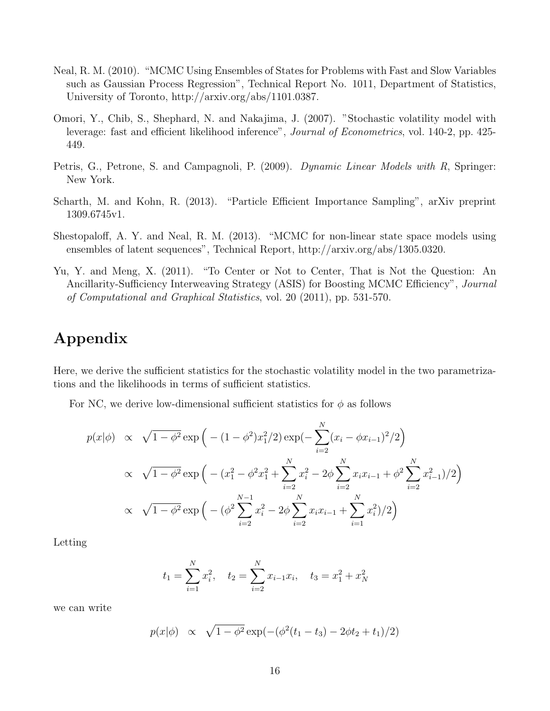- Neal, R. M. (2010). "MCMC Using Ensembles of States for Problems with Fast and Slow Variables such as Gaussian Process Regression", Technical Report No. 1011, Department of Statistics, University of Toronto, http://arxiv.org/abs/1101.0387.
- Omori, Y., Chib, S., Shephard, N. and Nakajima, J. (2007). "Stochastic volatility model with leverage: fast and efficient likelihood inference", Journal of Econometrics, vol. 140-2, pp. 425- 449.
- Petris, G., Petrone, S. and Campagnoli, P. (2009). Dynamic Linear Models with R, Springer: New York.
- Scharth, M. and Kohn, R. (2013). "Particle Efficient Importance Sampling", arXiv preprint 1309.6745v1.
- Shestopaloff, A. Y. and Neal, R. M. (2013). "MCMC for non-linear state space models using ensembles of latent sequences", Technical Report, http://arxiv.org/abs/1305.0320.
- Yu, Y. and Meng, X. (2011). "To Center or Not to Center, That is Not the Question: An Ancillarity-Sufficiency Interweaving Strategy (ASIS) for Boosting MCMC Efficiency", Journal of Computational and Graphical Statistics, vol. 20 (2011), pp. 531-570.

### Appendix

Here, we derive the sufficient statistics for the stochastic volatility model in the two parametrizations and the likelihoods in terms of sufficient statistics.

For NC, we derive low-dimensional sufficient statistics for  $\phi$  as follows

$$
p(x|\phi) \propto \sqrt{1-\phi^2} \exp\left(-\left(1-\phi^2\right)x_1^2/2\right) \exp\left(-\sum_{i=2}^N (x_i - \phi x_{i-1})^2/2\right)
$$
  
 
$$
\propto \sqrt{1-\phi^2} \exp\left(-\left(x_1^2 - \phi^2 x_1^2 + \sum_{i=2}^N x_i^2 - 2\phi \sum_{i=2}^N x_i x_{i-1} + \phi^2 \sum_{i=2}^N x_{i-1}^2\right)/2\right)
$$
  
 
$$
\propto \sqrt{1-\phi^2} \exp\left(-\left(\phi^2 \sum_{i=2}^{N-1} x_i^2 - 2\phi \sum_{i=2}^N x_i x_{i-1} + \sum_{i=1}^N x_i^2\right)/2\right)
$$

Letting

$$
t_1 = \sum_{i=1}^{N} x_i^2
$$
,  $t_2 = \sum_{i=2}^{N} x_{i-1} x_i$ ,  $t_3 = x_1^2 + x_N^2$ 

we can write

$$
p(x|\phi) \propto \sqrt{1-\phi^2} \exp(-(\phi^2(t_1-t_3)-2\phi t_2+t_1)/2)
$$